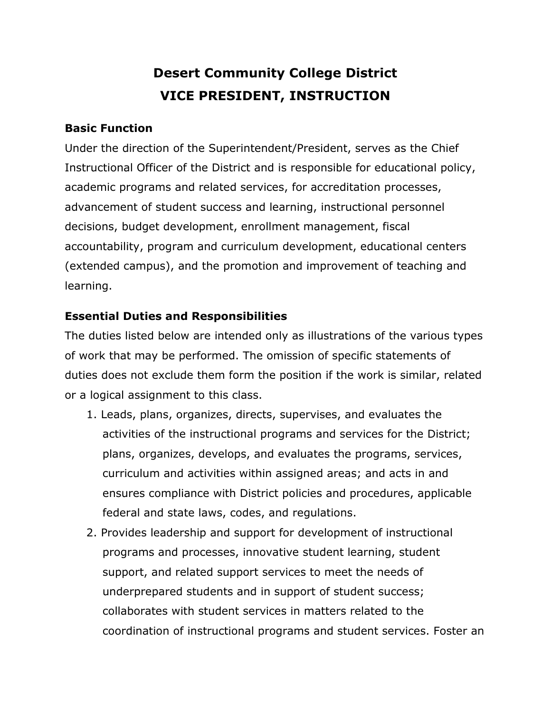# **Desert Community College District VICE PRESIDENT, INSTRUCTION**

#### **Basic Function**

Under the direction of the Superintendent/President, serves as the Chief Instructional Officer of the District and is responsible for educational policy, academic programs and related services, for accreditation processes, advancement of student success and learning, instructional personnel decisions, budget development, enrollment management, fiscal accountability, program and curriculum development, educational centers (extended campus), and the promotion and improvement of teaching and learning.

#### **Essential Duties and Responsibilities**

The duties listed below are intended only as illustrations of the various types of work that may be performed. The omission of specific statements of duties does not exclude them form the position if the work is similar, related or a logical assignment to this class.

- 1. Leads, plans, organizes, directs, supervises, and evaluates the activities of the instructional programs and services for the District; plans, organizes, develops, and evaluates the programs, services, curriculum and activities within assigned areas; and acts in and ensures compliance with District policies and procedures, applicable federal and state laws, codes, and regulations.
- 2. Provides leadership and support for development of instructional programs and processes, innovative student learning, student support, and related support services to meet the needs of underprepared students and in support of student success; collaborates with student services in matters related to the coordination of instructional programs and student services. Foster an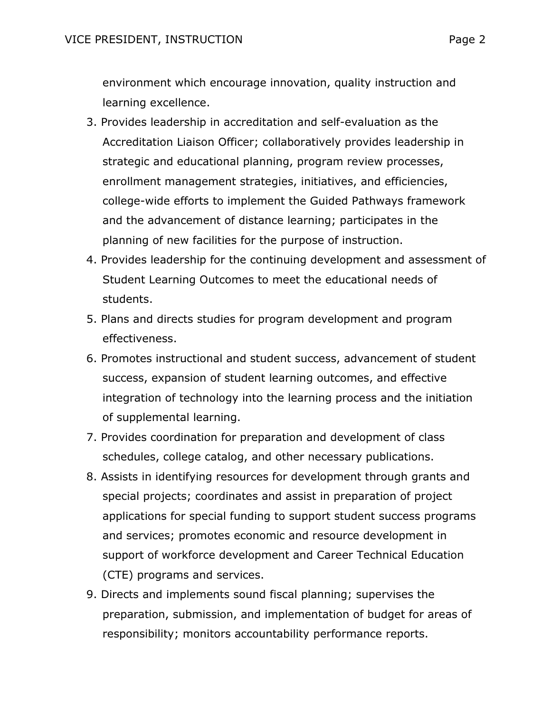environment which encourage innovation, quality instruction and learning excellence.

- 3. Provides leadership in accreditation and self-evaluation as the Accreditation Liaison Officer; collaboratively provides leadership in strategic and educational planning, program review processes, enrollment management strategies, initiatives, and efficiencies, college-wide efforts to implement the Guided Pathways framework and the advancement of distance learning; participates in the planning of new facilities for the purpose of instruction.
- 4. Provides leadership for the continuing development and assessment of Student Learning Outcomes to meet the educational needs of students.
- 5. Plans and directs studies for program development and program effectiveness.
- 6. Promotes instructional and student success, advancement of student success, expansion of student learning outcomes, and effective integration of technology into the learning process and the initiation of supplemental learning.
- 7. Provides coordination for preparation and development of class schedules, college catalog, and other necessary publications.
- 8. Assists in identifying resources for development through grants and special projects; coordinates and assist in preparation of project applications for special funding to support student success programs and services; promotes economic and resource development in support of workforce development and Career Technical Education (CTE) programs and services.
- 9. Directs and implements sound fiscal planning; supervises the preparation, submission, and implementation of budget for areas of responsibility; monitors accountability performance reports.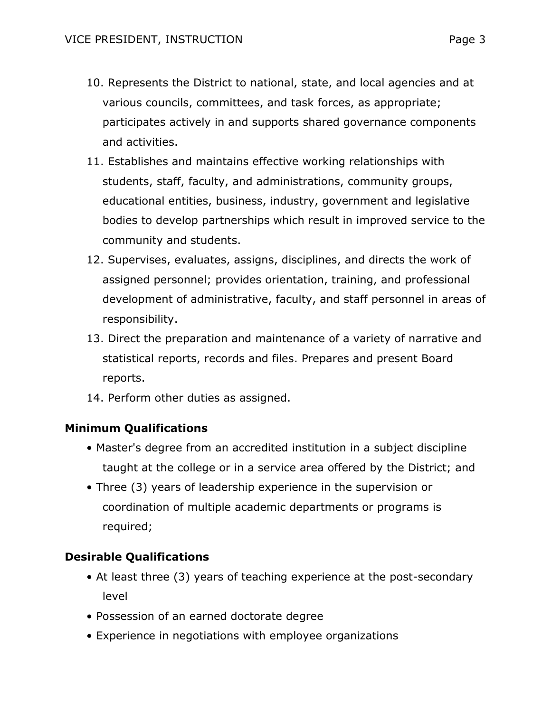- 10. Represents the District to national, state, and local agencies and at various councils, committees, and task forces, as appropriate; participates actively in and supports shared governance components and activities.
- 11. Establishes and maintains effective working relationships with students, staff, faculty, and administrations, community groups, educational entities, business, industry, government and legislative bodies to develop partnerships which result in improved service to the community and students.
- 12. Supervises, evaluates, assigns, disciplines, and directs the work of assigned personnel; provides orientation, training, and professional development of administrative, faculty, and staff personnel in areas of responsibility.
- 13. Direct the preparation and maintenance of a variety of narrative and statistical reports, records and files. Prepares and present Board reports.
- 14. Perform other duties as assigned.

## **Minimum Qualifications**

- Master's degree from an accredited institution in a subject discipline taught at the college or in a service area offered by the District; and
- Three (3) years of leadership experience in the supervision or coordination of multiple academic departments or programs is required;

## **Desirable Qualifications**

- At least three (3) years of teaching experience at the post-secondary level
- Possession of an earned doctorate degree
- Experience in negotiations with employee organizations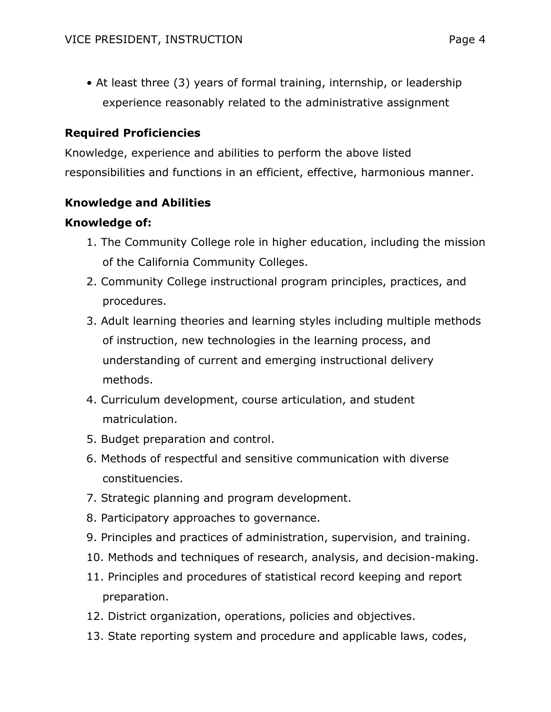• At least three (3) years of formal training, internship, or leadership experience reasonably related to the administrative assignment

## **Required Proficiencies**

Knowledge, experience and abilities to perform the above listed responsibilities and functions in an efficient, effective, harmonious manner.

## **Knowledge and Abilities**

## **Knowledge of:**

- 1. The Community College role in higher education, including the mission of the California Community Colleges.
- 2. Community College instructional program principles, practices, and procedures.
- 3. Adult learning theories and learning styles including multiple methods of instruction, new technologies in the learning process, and understanding of current and emerging instructional delivery methods.
- 4. Curriculum development, course articulation, and student matriculation.
- 5. Budget preparation and control.
- 6. Methods of respectful and sensitive communication with diverse constituencies.
- 7. Strategic planning and program development.
- 8. Participatory approaches to governance.
- 9. Principles and practices of administration, supervision, and training.
- 10. Methods and techniques of research, analysis, and decision-making.
- 11. Principles and procedures of statistical record keeping and report preparation.
- 12. District organization, operations, policies and objectives.
- 13. State reporting system and procedure and applicable laws, codes,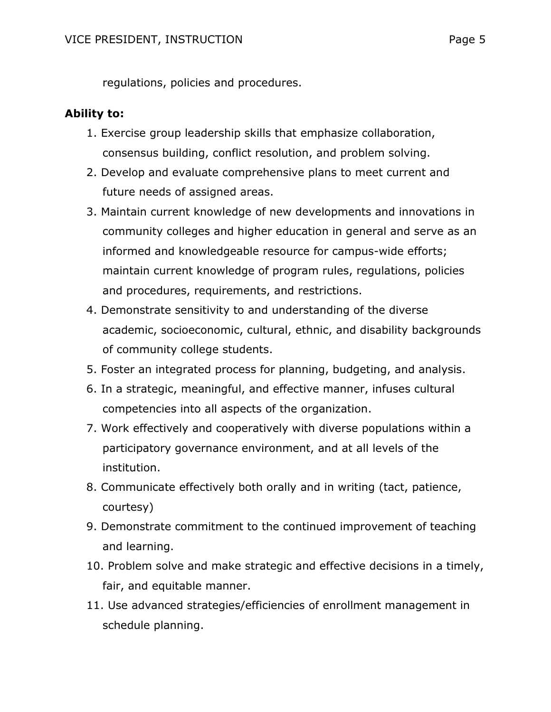regulations, policies and procedures.

#### **Ability to:**

- 1. Exercise group leadership skills that emphasize collaboration, consensus building, conflict resolution, and problem solving.
- 2. Develop and evaluate comprehensive plans to meet current and future needs of assigned areas.
- 3. Maintain current knowledge of new developments and innovations in community colleges and higher education in general and serve as an informed and knowledgeable resource for campus-wide efforts; maintain current knowledge of program rules, regulations, policies and procedures, requirements, and restrictions.
- 4. Demonstrate sensitivity to and understanding of the diverse academic, socioeconomic, cultural, ethnic, and disability backgrounds of community college students.
- 5. Foster an integrated process for planning, budgeting, and analysis.
- 6. In a strategic, meaningful, and effective manner, infuses cultural competencies into all aspects of the organization.
- 7. Work effectively and cooperatively with diverse populations within a participatory governance environment, and at all levels of the institution.
- 8. Communicate effectively both orally and in writing (tact, patience, courtesy)
- 9. Demonstrate commitment to the continued improvement of teaching and learning.
- 10. Problem solve and make strategic and effective decisions in a timely, fair, and equitable manner.
- 11. Use advanced strategies/efficiencies of enrollment management in schedule planning.